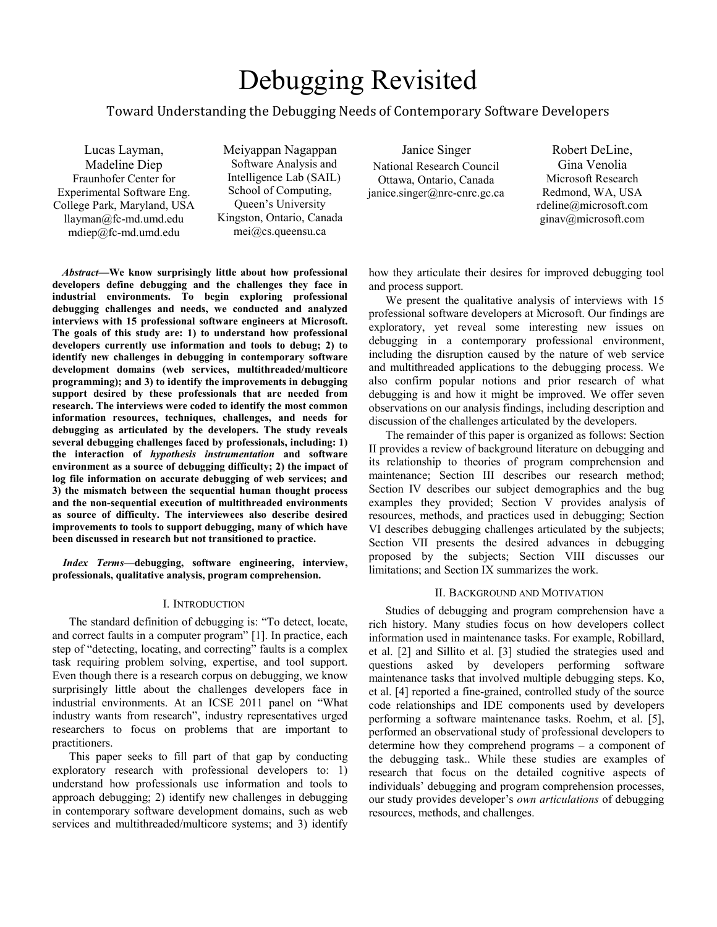# Debugging Revisited

# Toward Understanding the Debugging Needs of Contemporary Software Developers

Lucas Layman, Madeline Diep Fraunhofer Center for Experimental Software Eng. College Park, Maryland, USA llayman@fc-md.umd.edu mdiep@fc-md.umd.edu

Meiyappan Nagappan Software Analysis and Intelligence Lab (SAIL) School of Computing, Queen's University Kingston, Ontario, Canada mei@cs.queensu.ca

*Abstract***—We know surprisingly little about how professional developers define debugging and the challenges they face in industrial environments. To begin exploring professional debugging challenges and needs, we conducted and analyzed interviews with 15 professional software engineers at Microsoft. The goals of this study are: 1) to understand how professional developers currently use information and tools to debug; 2) to identify new challenges in debugging in contemporary software development domains (web services, multithreaded/multicore programming); and 3) to identify the improvements in debugging support desired by these professionals that are needed from research. The interviews were coded to identify the most common information resources, techniques, challenges, and needs for debugging as articulated by the developers. The study reveals several debugging challenges faced by professionals, including: 1) the interaction of** *hypothesis instrumentation* **and software environment as a source of debugging difficulty; 2) the impact of log file information on accurate debugging of web services; and 3) the mismatch between the sequential human thought process and the non-sequential execution of multithreaded environments as source of difficulty. The interviewees also describe desired improvements to tools to support debugging, many of which have been discussed in research but not transitioned to practice.** 

*Index Terms***—debugging, software engineering, interview, professionals, qualitative analysis, program comprehension.** 

## I. INTRODUCTION

The standard definition of debugging is: "To detect, locate, and correct faults in a computer program" [1]. In practice, each step of "detecting, locating, and correcting" faults is a complex task requiring problem solving, expertise, and tool support. Even though there is a research corpus on debugging, we know surprisingly little about the challenges developers face in industrial environments. At an ICSE 2011 panel on "What industry wants from research", industry representatives urged researchers to focus on problems that are important to practitioners.

This paper seeks to fill part of that gap by conducting exploratory research with professional developers to: 1) understand how professionals use information and tools to approach debugging; 2) identify new challenges in debugging in contemporary software development domains, such as web services and multithreaded/multicore systems; and 3) identify

Janice Singer National Research Council Ottawa, Ontario, Canada janice.singer@nrc-cnrc.gc.ca

Robert DeLine, Gina Venolia Microsoft Research Redmond, WA, USA rdeline@microsoft.com ginav@microsoft.com

how they articulate their desires for improved debugging tool and process support.

We present the qualitative analysis of interviews with 15 professional software developers at Microsoft. Our findings are exploratory, yet reveal some interesting new issues on debugging in a contemporary professional environment, including the disruption caused by the nature of web service and multithreaded applications to the debugging process. We also confirm popular notions and prior research of what debugging is and how it might be improved. We offer seven observations on our analysis findings, including description and discussion of the challenges articulated by the developers.

The remainder of this paper is organized as follows: Section II provides a review of background literature on debugging and its relationship to theories of program comprehension and maintenance; Section III describes our research method; Section IV describes our subject demographics and the bug examples they provided; Section V provides analysis of resources, methods, and practices used in debugging; Section VI describes debugging challenges articulated by the subjects; Section VII presents the desired advances in debugging proposed by the subjects; Section VIII discusses our limitations; and Section IX summarizes the work.

## II. BACKGROUND AND MOTIVATION

Studies of debugging and program comprehension have a rich history. Many studies focus on how developers collect information used in maintenance tasks. For example, Robillard, et al. [2] and Sillito et al. [3] studied the strategies used and questions asked by developers performing software maintenance tasks that involved multiple debugging steps. Ko, et al. [4] reported a fine-grained, controlled study of the source code relationships and IDE components used by developers performing a software maintenance tasks. Roehm, et al. [5], performed an observational study of professional developers to determine how they comprehend programs – a component of the debugging task.. While these studies are examples of research that focus on the detailed cognitive aspects of individuals' debugging and program comprehension processes, our study provides developer's *own articulations* of debugging resources, methods, and challenges.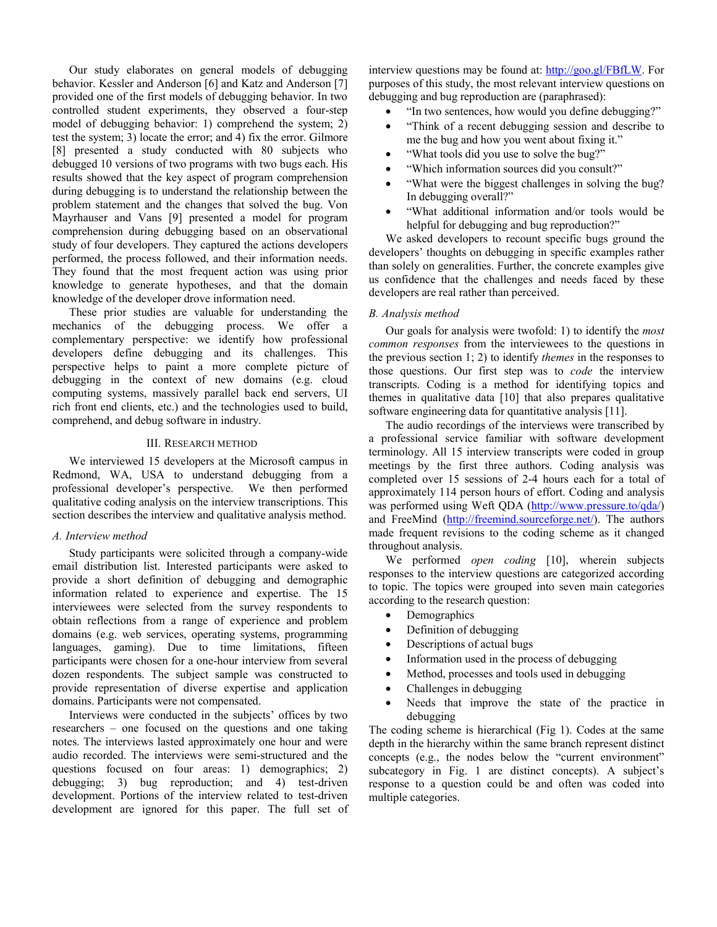Our study elaborates on general models of debugging behavior. Kessler and Anderson [6] and Katz and Anderson [7] provided one of the first models of debugging behavior. In two controlled student experiments, they observed a four-step model of debugging behavior: 1) comprehend the system; 2) test the system; 3) locate the error; and 4) fix the error. Gilmore [8] presented a study conducted with 80 subjects who debugged 10 versions of two programs with two bugs each. His results showed that the key aspect of program comprehension during debugging is to understand the relationship between the problem statement and the changes that solved the bug. Von Mayrhauser and Vans [9] presented a model for program comprehension during debugging based on an observational study of four developers. They captured the actions developers performed, the process followed, and their information needs. They found that the most frequent action was using prior knowledge to generate hypotheses, and that the domain knowledge of the developer drove information need.

These prior studies are valuable for understanding the mechanics of the debugging process. We offer a complementary perspective: we identify how professional developers define debugging and its challenges. This perspective helps to paint a more complete picture of debugging in the context of new domains (e.g. cloud computing systems, massively parallel back end servers, UI rich front end clients, etc.) and the technologies used to build, comprehend, and debug software in industry.

## III. RESEARCH METHOD

We interviewed 15 developers at the Microsoft campus in Redmond, WA, USA to understand debugging from a professional developer's perspective. We then performed qualitative coding analysis on the interview transcriptions. This section describes the interview and qualitative analysis method.

## *A. Interview method*

Study participants were solicited through a company-wide email distribution list. Interested participants were asked to provide a short definition of debugging and demographic information related to experience and expertise. The 15 interviewees were selected from the survey respondents to obtain reflections from a range of experience and problem domains (e.g. web services, operating systems, programming languages, gaming). Due to time limitations, fifteen participants were chosen for a one-hour interview from several dozen respondents. The subject sample was constructed to provide representation of diverse expertise and application domains. Participants were not compensated.

Interviews were conducted in the subjects' offices by two researchers – one focused on the questions and one taking notes. The interviews lasted approximately one hour and were audio recorded. The interviews were semi-structured and the questions focused on four areas: 1) demographics; 2) debugging; 3) bug reproduction; and 4) test-driven development. Portions of the interview related to test-driven development are ignored for this paper. The full set of interview questions may be found at: http://goo.gl/FBfLW. For purposes of this study, the most relevant interview questions on debugging and bug reproduction are (paraphrased):

- "In two sentences, how would you define debugging?"
- "Think of a recent debugging session and describe to me the bug and how you went about fixing it."
- "What tools did you use to solve the bug?"
- "Which information sources did you consult?"
- "What were the biggest challenges in solving the bug? In debugging overall?"
- "What additional information and/or tools would be helpful for debugging and bug reproduction?"

We asked developers to recount specific bugs ground the developers' thoughts on debugging in specific examples rather than solely on generalities. Further, the concrete examples give us confidence that the challenges and needs faced by these developers are real rather than perceived.

## *B. Analysis method*

Our goals for analysis were twofold: 1) to identify the *most common responses* from the interviewees to the questions in the previous section 1; 2) to identify *themes* in the responses to those questions. Our first step was to *code* the interview transcripts. Coding is a method for identifying topics and themes in qualitative data [10] that also prepares qualitative software engineering data for quantitative analysis [11].

The audio recordings of the interviews were transcribed by a professional service familiar with software development terminology. All 15 interview transcripts were coded in group meetings by the first three authors. Coding analysis was completed over 15 sessions of 2-4 hours each for a total of approximately 114 person hours of effort. Coding and analysis was performed using Weft QDA (http://www.pressure.to/qda/) and FreeMind (http://freemind.sourceforge.net/). The authors made frequent revisions to the coding scheme as it changed throughout analysis.

We performed *open coding* [10], wherein subjects responses to the interview questions are categorized according to topic. The topics were grouped into seven main categories according to the research question:

- Demographics
- Definition of debugging
- Descriptions of actual bugs
- Information used in the process of debugging
- Method, processes and tools used in debugging
- Challenges in debugging
- Needs that improve the state of the practice in debugging

The coding scheme is hierarchical (Fig 1). Codes at the same depth in the hierarchy within the same branch represent distinct concepts (e.g., the nodes below the "current environment" subcategory in Fig. 1 are distinct concepts). A subject's response to a question could be and often was coded into multiple categories.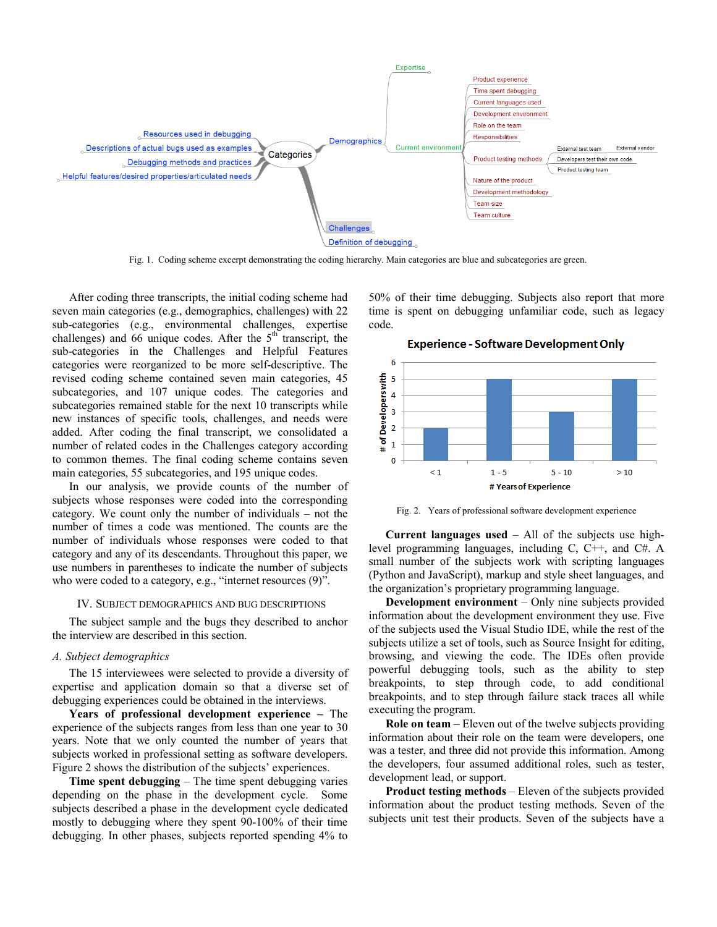

Fig. 1. Coding scheme excerpt demonstrating the coding hierarchy. Main categories are blue and subcategories are green.

After coding three transcripts, the initial coding scheme had seven main categories (e.g., demographics, challenges) with 22 sub-categories (e.g., environmental challenges, expertise challenges) and 66 unique codes. After the  $5<sup>th</sup>$  transcript, the sub-categories in the Challenges and Helpful Features categories were reorganized to be more self-descriptive. The revised coding scheme contained seven main categories, 45 subcategories, and 107 unique codes. The categories and subcategories remained stable for the next 10 transcripts while new instances of specific tools, challenges, and needs were added. After coding the final transcript, we consolidated a number of related codes in the Challenges category according to common themes. The final coding scheme contains seven main categories, 55 subcategories, and 195 unique codes.

In our analysis, we provide counts of the number of subjects whose responses were coded into the corresponding category. We count only the number of individuals – not the number of times a code was mentioned. The counts are the number of individuals whose responses were coded to that category and any of its descendants. Throughout this paper, we use numbers in parentheses to indicate the number of subjects who were coded to a category, e.g., "internet resources (9)".

#### IV. SUBJECT DEMOGRAPHICS AND BUG DESCRIPTIONS

The subject sample and the bugs they described to anchor the interview are described in this section.

## *A. Subject demographics*

The 15 interviewees were selected to provide a diversity of expertise and application domain so that a diverse set of debugging experiences could be obtained in the interviews.

**Years of professional development experience –** The experience of the subjects ranges from less than one year to 30 years. Note that we only counted the number of years that subjects worked in professional setting as software developers. Figure 2 shows the distribution of the subjects' experiences.

**Time spent debugging** – The time spent debugging varies depending on the phase in the development cycle. Some subjects described a phase in the development cycle dedicated mostly to debugging where they spent 90-100% of their time debugging. In other phases, subjects reported spending 4% to 50% of their time debugging. Subjects also report that more time is spent on debugging unfamiliar code, such as legacy code.

**Experience - Software Development Only** 



Fig. 2. Years of professional software development experience

**Current languages used** – All of the subjects use highlevel programming languages, including C, C++, and C#. A small number of the subjects work with scripting languages (Python and JavaScript), markup and style sheet languages, and the organization's proprietary programming language.

**Development environment** – Only nine subjects provided information about the development environment they use. Five of the subjects used the Visual Studio IDE, while the rest of the subjects utilize a set of tools, such as Source Insight for editing, browsing, and viewing the code. The IDEs often provide powerful debugging tools, such as the ability to step breakpoints, to step through code, to add conditional breakpoints, and to step through failure stack traces all while executing the program.

**Role on team** – Eleven out of the twelve subjects providing information about their role on the team were developers, one was a tester, and three did not provide this information. Among the developers, four assumed additional roles, such as tester, development lead, or support.

**Product testing methods** – Eleven of the subjects provided information about the product testing methods. Seven of the subjects unit test their products. Seven of the subjects have a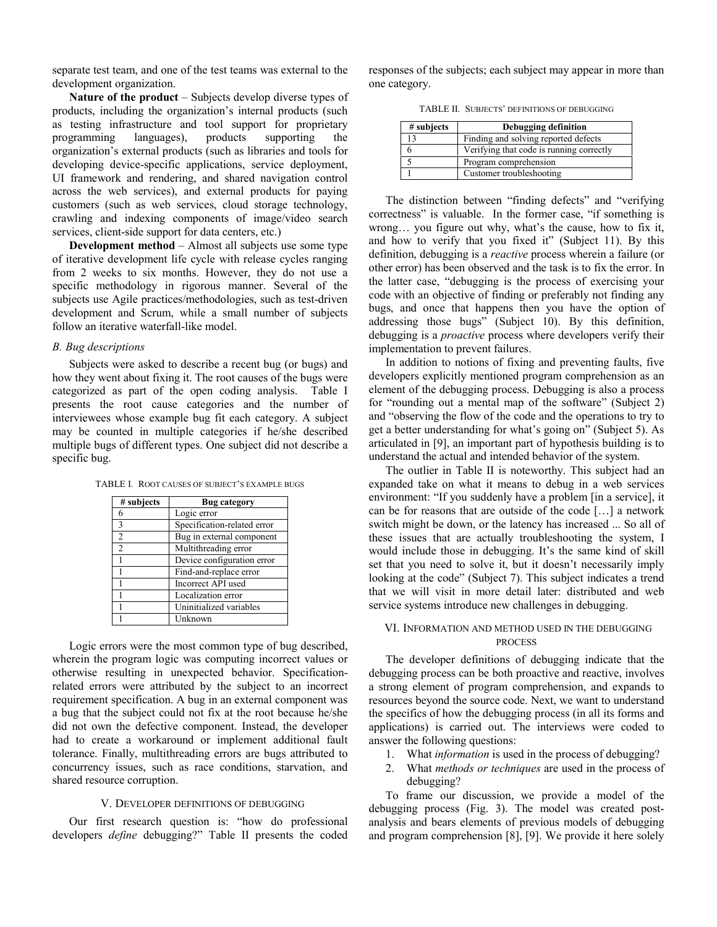separate test team, and one of the test teams was external to the development organization.

**Nature of the product** – Subjects develop diverse types of products, including the organization's internal products (such as testing infrastructure and tool support for proprietary programming languages), products supporting the organization's external products (such as libraries and tools for developing device-specific applications, service deployment, UI framework and rendering, and shared navigation control across the web services), and external products for paying customers (such as web services, cloud storage technology, crawling and indexing components of image/video search services, client-side support for data centers, etc.)

**Development method** – Almost all subjects use some type of iterative development life cycle with release cycles ranging from 2 weeks to six months. However, they do not use a specific methodology in rigorous manner. Several of the subjects use Agile practices/methodologies, such as test-driven development and Scrum, while a small number of subjects follow an iterative waterfall-like model.

## *B. Bug descriptions*

Subjects were asked to describe a recent bug (or bugs) and how they went about fixing it. The root causes of the bugs were categorized as part of the open coding analysis. Table I presents the root cause categories and the number of interviewees whose example bug fit each category. A subject may be counted in multiple categories if he/she described multiple bugs of different types. One subject did not describe a specific bug.

TABLE I. ROOT CAUSES OF SUBJECT'S EXAMPLE BUGS

| # subjects     | <b>Bug category</b>         |
|----------------|-----------------------------|
| 6              | Logic error                 |
| 3              | Specification-related error |
| $\overline{2}$ | Bug in external component   |
| $\overline{2}$ | Multithreading error        |
|                | Device configuration error  |
|                | Find-and-replace error      |
|                | Incorrect API used          |
|                | Localization error          |
|                | Uninitialized variables     |
|                | <b>Unknown</b>              |

Logic errors were the most common type of bug described, wherein the program logic was computing incorrect values or otherwise resulting in unexpected behavior. Specificationrelated errors were attributed by the subject to an incorrect requirement specification. A bug in an external component was a bug that the subject could not fix at the root because he/she did not own the defective component. Instead, the developer had to create a workaround or implement additional fault tolerance. Finally, multithreading errors are bugs attributed to concurrency issues, such as race conditions, starvation, and shared resource corruption.

## V. DEVELOPER DEFINITIONS OF DEBUGGING

Our first research question is: "how do professional developers *define* debugging?" Table II presents the coded responses of the subjects; each subject may appear in more than one category.

TABLE II. SUBJECTS' DEFINITIONS OF DEBUGGING

| $#$ subjects | <b>Debugging definition</b>              |
|--------------|------------------------------------------|
| 13           | Finding and solving reported defects     |
|              | Verifying that code is running correctly |
|              | Program comprehension                    |
|              | Customer troubleshooting                 |

The distinction between "finding defects" and "verifying correctness" is valuable. In the former case, "if something is wrong… you figure out why, what's the cause, how to fix it, and how to verify that you fixed it" (Subject 11). By this definition, debugging is a *reactive* process wherein a failure (or other error) has been observed and the task is to fix the error. In the latter case, "debugging is the process of exercising your code with an objective of finding or preferably not finding any bugs, and once that happens then you have the option of addressing those bugs" (Subject 10). By this definition, debugging is a *proactive* process where developers verify their implementation to prevent failures.

In addition to notions of fixing and preventing faults, five developers explicitly mentioned program comprehension as an element of the debugging process. Debugging is also a process for "rounding out a mental map of the software" (Subject 2) and "observing the flow of the code and the operations to try to get a better understanding for what's going on" (Subject 5). As articulated in [9], an important part of hypothesis building is to understand the actual and intended behavior of the system.

The outlier in Table II is noteworthy. This subject had an expanded take on what it means to debug in a web services environment: "If you suddenly have a problem [in a service], it can be for reasons that are outside of the code […] a network switch might be down, or the latency has increased ... So all of these issues that are actually troubleshooting the system, I would include those in debugging. It's the same kind of skill set that you need to solve it, but it doesn't necessarily imply looking at the code" (Subject 7). This subject indicates a trend that we will visit in more detail later: distributed and web service systems introduce new challenges in debugging.

## VI. INFORMATION AND METHOD USED IN THE DEBUGGING PROCESS

The developer definitions of debugging indicate that the debugging process can be both proactive and reactive, involves a strong element of program comprehension, and expands to resources beyond the source code. Next, we want to understand the specifics of how the debugging process (in all its forms and applications) is carried out. The interviews were coded to answer the following questions:

- 1. What *information* is used in the process of debugging?
- 2. What *methods or techniques* are used in the process of debugging?

To frame our discussion, we provide a model of the debugging process (Fig. 3). The model was created postanalysis and bears elements of previous models of debugging and program comprehension [8], [9]. We provide it here solely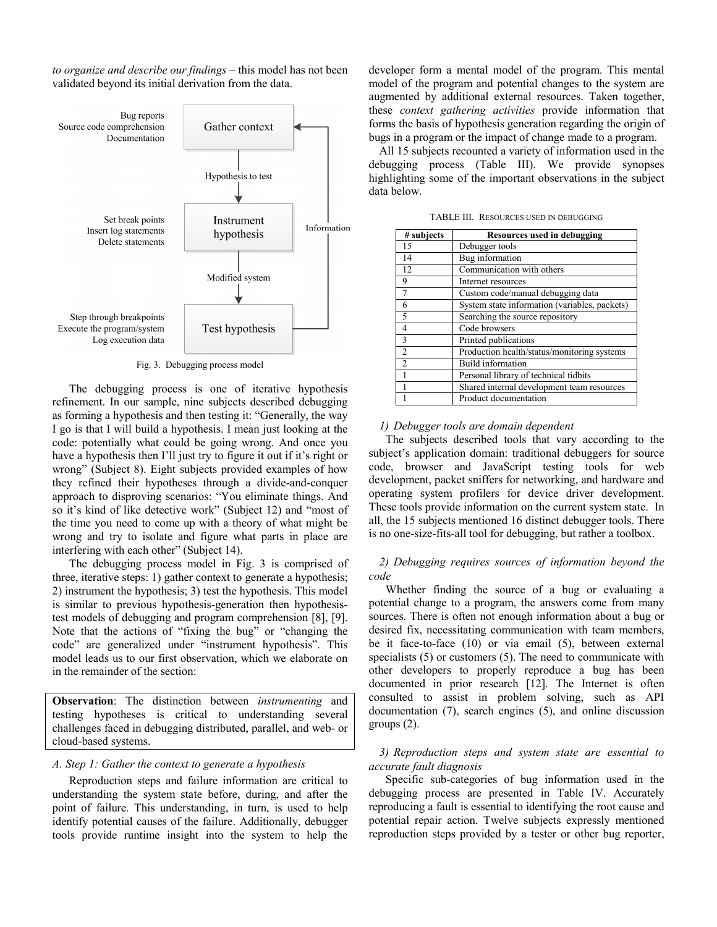*to organize and describe our findings* – this model has not been validated beyond its initial derivation from the data.



Fig. 3. Debugging process model

The debugging process is one of iterative hypothesis refinement. In our sample, nine subjects described debugging as forming a hypothesis and then testing it: "Generally, the way I go is that I will build a hypothesis. I mean just looking at the code: potentially what could be going wrong. And once you have a hypothesis then I'll just try to figure it out if it's right or wrong" (Subject 8). Eight subjects provided examples of how they refined their hypotheses through a divide-and-conquer approach to disproving scenarios: "You eliminate things. And so it's kind of like detective work" (Subject 12) and "most of the time you need to come up with a theory of what might be wrong and try to isolate and figure what parts in place are interfering with each other" (Subject 14).

The debugging process model in Fig. 3 is comprised of three, iterative steps: 1) gather context to generate a hypothesis; 2) instrument the hypothesis; 3) test the hypothesis. This model is similar to previous hypothesis-generation then hypothesistest models of debugging and program comprehension [8], [9]. Note that the actions of "fixing the bug" or "changing the code" are generalized under "instrument hypothesis". This model leads us to our first observation, which we elaborate on in the remainder of the section:

**Observation**: The distinction between *instrumenting* and testing hypotheses is critical to understanding several challenges faced in debugging distributed, parallel, and web- or cloud-based systems.

## *A. Step 1: Gather the context to generate a hypothesis*

Reproduction steps and failure information are critical to understanding the system state before, during, and after the point of failure. This understanding, in turn, is used to help identify potential causes of the failure. Additionally, debugger tools provide runtime insight into the system to help the

developer form a mental model of the program. This mental model of the program and potential changes to the system are augmented by additional external resources. Taken together, these *context gathering activities* provide information that forms the basis of hypothesis generation regarding the origin of bugs in a program or the impact of change made to a program.

All 15 subjects recounted a variety of information used in the debugging process (Table III). We provide synopses highlighting some of the important observations in the subject data below.

| # subjects     | <b>Resources used in debugging</b>            |
|----------------|-----------------------------------------------|
| 15             | Debugger tools                                |
| 14             | Bug information                               |
| 12             | Communication with others                     |
| 9              | Internet resources                            |
| 7              | Custom code/manual debugging data             |
| 6              | System state information (variables, packets) |
| -5             | Searching the source repository               |
| 4              | Code browsers                                 |
| 3              | Printed publications                          |
| $\overline{2}$ | Production health/status/monitoring systems   |
| $\overline{c}$ | <b>Build information</b>                      |
|                | Personal library of technical tidbits         |
|                | Shared internal development team resources    |
|                | Product documentation                         |

# *1) Debugger tools are domain dependent*

The subjects described tools that vary according to the subject's application domain: traditional debuggers for source code, browser and JavaScript testing tools for web development, packet sniffers for networking, and hardware and operating system profilers for device driver development. These tools provide information on the current system state. In all, the 15 subjects mentioned 16 distinct debugger tools. There is no one-size-fits-all tool for debugging, but rather a toolbox.

## *2) Debugging requires sources of information beyond the code*

Whether finding the source of a bug or evaluating a potential change to a program, the answers come from many sources. There is often not enough information about a bug or desired fix, necessitating communication with team members, be it face-to-face (10) or via email (5), between external specialists (5) or customers (5). The need to communicate with other developers to properly reproduce a bug has been documented in prior research [12]. The Internet is often consulted to assist in problem solving, such as API documentation (7), search engines (5), and online discussion groups (2).

# *3) Reproduction steps and system state are essential to accurate fault diagnosis*

Specific sub-categories of bug information used in the debugging process are presented in Table IV. Accurately reproducing a fault is essential to identifying the root cause and potential repair action. Twelve subjects expressly mentioned reproduction steps provided by a tester or other bug reporter,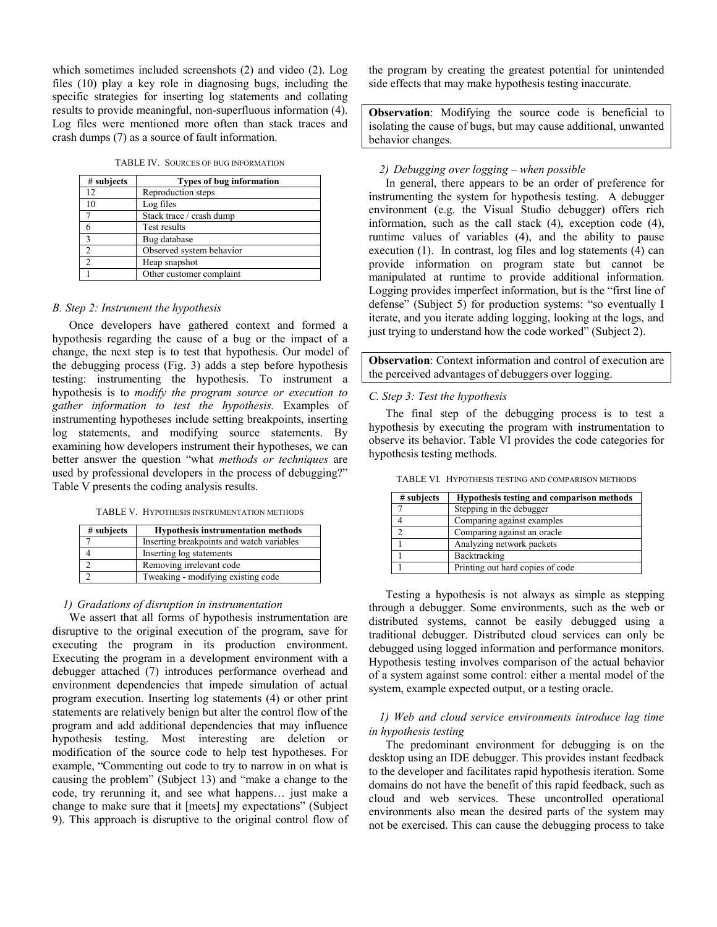which sometimes included screenshots (2) and video (2). Log files (10) play a key role in diagnosing bugs, including the specific strategies for inserting log statements and collating results to provide meaningful, non-superfluous information (4). Log files were mentioned more often than stack traces and crash dumps (7) as a source of fault information.

TABLE IV. SOURCES OF BUG INFORMATION

| # subjects    | <b>Types of bug information</b> |
|---------------|---------------------------------|
| 12            | Reproduction steps              |
| 10            | Log files                       |
|               | Stack trace / crash dump        |
|               | Test results                    |
| $\mathbf{R}$  | Bug database                    |
| $\mathcal{D}$ | Observed system behavior        |
| ∍             | Heap snapshot                   |
|               | Other customer complaint        |

## *B. Step 2: Instrument the hypothesis*

Once developers have gathered context and formed a hypothesis regarding the cause of a bug or the impact of a change, the next step is to test that hypothesis. Our model of the debugging process (Fig. 3) adds a step before hypothesis testing: instrumenting the hypothesis. To instrument a hypothesis is to *modify the program source or execution to gather information to test the hypothesis.* Examples of instrumenting hypotheses include setting breakpoints, inserting log statements, and modifying source statements. By examining how developers instrument their hypotheses, we can better answer the question "what *methods or techniques* are used by professional developers in the process of debugging?" Table V presents the coding analysis results.

TABLE V. HYPOTHESIS INSTRUMENTATION METHODS

| # subjects | <b>Hypothesis instrumentation methods</b> |
|------------|-------------------------------------------|
|            | Inserting breakpoints and watch variables |
|            | Inserting log statements                  |
|            | Removing irrelevant code                  |
|            | Tweaking - modifying existing code        |

# *1) Gradations of disruption in instrumentation*

We assert that all forms of hypothesis instrumentation are disruptive to the original execution of the program, save for executing the program in its production environment. Executing the program in a development environment with a debugger attached (7) introduces performance overhead and environment dependencies that impede simulation of actual program execution. Inserting log statements (4) or other print statements are relatively benign but alter the control flow of the program and add additional dependencies that may influence hypothesis testing. Most interesting are deletion or modification of the source code to help test hypotheses. For example, "Commenting out code to try to narrow in on what is causing the problem" (Subject 13) and "make a change to the code, try rerunning it, and see what happens… just make a change to make sure that it [meets] my expectations" (Subject 9). This approach is disruptive to the original control flow of the program by creating the greatest potential for unintended side effects that may make hypothesis testing inaccurate.

**Observation**: Modifying the source code is beneficial to isolating the cause of bugs, but may cause additional, unwanted behavior changes.

## *2) Debugging over logging – when possible*

In general, there appears to be an order of preference for instrumenting the system for hypothesis testing. A debugger environment (e.g. the Visual Studio debugger) offers rich information, such as the call stack (4), exception code (4), runtime values of variables (4), and the ability to pause execution (1). In contrast, log files and log statements (4) can provide information on program state but cannot be manipulated at runtime to provide additional information. Logging provides imperfect information, but is the "first line of defense" (Subject 5) for production systems: "so eventually I iterate, and you iterate adding logging, looking at the logs, and just trying to understand how the code worked" (Subject 2).

**Observation**: Context information and control of execution are the perceived advantages of debuggers over logging.

#### *C. Step 3: Test the hypothesis*

The final step of the debugging process is to test a hypothesis by executing the program with instrumentation to observe its behavior. Table VI provides the code categories for hypothesis testing methods.

| TABLE VI. HYPOTHESIS TESTING AND COMPARISON METHODS |  |  |  |  |
|-----------------------------------------------------|--|--|--|--|
|-----------------------------------------------------|--|--|--|--|

| $#$ subjects | Hypothesis testing and comparison methods |
|--------------|-------------------------------------------|
|              | Stepping in the debugger                  |
|              | Comparing against examples                |
| ∍            | Comparing against an oracle               |
|              | Analyzing network packets                 |
|              | Backtracking                              |
|              | Printing out hard copies of code          |

Testing a hypothesis is not always as simple as stepping through a debugger. Some environments, such as the web or distributed systems, cannot be easily debugged using a traditional debugger. Distributed cloud services can only be debugged using logged information and performance monitors. Hypothesis testing involves comparison of the actual behavior of a system against some control: either a mental model of the system, example expected output, or a testing oracle.

# *1) Web and cloud service environments introduce lag time in hypothesis testing*

The predominant environment for debugging is on the desktop using an IDE debugger. This provides instant feedback to the developer and facilitates rapid hypothesis iteration. Some domains do not have the benefit of this rapid feedback, such as cloud and web services. These uncontrolled operational environments also mean the desired parts of the system may not be exercised. This can cause the debugging process to take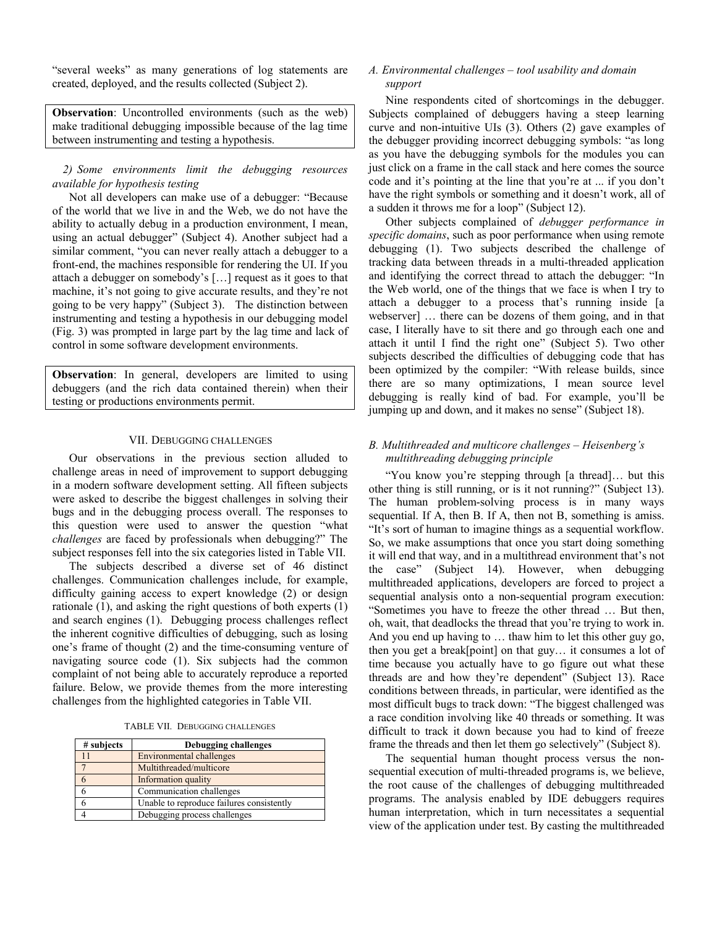"several weeks" as many generations of log statements are created, deployed, and the results collected (Subject 2).

**Observation**: Uncontrolled environments (such as the web) make traditional debugging impossible because of the lag time between instrumenting and testing a hypothesis.

# *2) Some environments limit the debugging resources available for hypothesis testing*

Not all developers can make use of a debugger: "Because of the world that we live in and the Web, we do not have the ability to actually debug in a production environment, I mean, using an actual debugger" (Subject 4). Another subject had a similar comment, "you can never really attach a debugger to a front-end, the machines responsible for rendering the UI. If you attach a debugger on somebody's […] request as it goes to that machine, it's not going to give accurate results, and they're not going to be very happy" (Subject 3). The distinction between instrumenting and testing a hypothesis in our debugging model (Fig. 3) was prompted in large part by the lag time and lack of control in some software development environments.

**Observation**: In general, developers are limited to using debuggers (and the rich data contained therein) when their testing or productions environments permit.

## VII. DEBUGGING CHALLENGES

Our observations in the previous section alluded to challenge areas in need of improvement to support debugging in a modern software development setting. All fifteen subjects were asked to describe the biggest challenges in solving their bugs and in the debugging process overall. The responses to this question were used to answer the question "what *challenges* are faced by professionals when debugging?" The subject responses fell into the six categories listed in Table VII.

The subjects described a diverse set of 46 distinct challenges. Communication challenges include, for example, difficulty gaining access to expert knowledge (2) or design rationale (1), and asking the right questions of both experts (1) and search engines (1). Debugging process challenges reflect the inherent cognitive difficulties of debugging, such as losing one's frame of thought (2) and the time-consuming venture of navigating source code (1). Six subjects had the common complaint of not being able to accurately reproduce a reported failure. Below, we provide themes from the more interesting challenges from the highlighted categories in Table VII.

TABLE VII. DEBUGGING CHALLENGES

| # subjects | <b>Debugging challenges</b>               |
|------------|-------------------------------------------|
|            | Environmental challenges                  |
|            | Multithreaded/multicore                   |
| O          | <b>Information quality</b>                |
| n          | Communication challenges                  |
| n          | Unable to reproduce failures consistently |
|            | Debugging process challenges              |

# *A. Environmental challenges – tool usability and domain support*

Nine respondents cited of shortcomings in the debugger. Subjects complained of debuggers having a steep learning curve and non-intuitive UIs (3). Others (2) gave examples of the debugger providing incorrect debugging symbols: "as long as you have the debugging symbols for the modules you can just click on a frame in the call stack and here comes the source code and it's pointing at the line that you're at ... if you don't have the right symbols or something and it doesn't work, all of a sudden it throws me for a loop" (Subject 12).

Other subjects complained of *debugger performance in specific domains*, such as poor performance when using remote debugging (1). Two subjects described the challenge of tracking data between threads in a multi-threaded application and identifying the correct thread to attach the debugger: "In the Web world, one of the things that we face is when I try to attach a debugger to a process that's running inside [a webserver] … there can be dozens of them going, and in that case, I literally have to sit there and go through each one and attach it until I find the right one" (Subject 5). Two other subjects described the difficulties of debugging code that has been optimized by the compiler: "With release builds, since there are so many optimizations, I mean source level debugging is really kind of bad. For example, you'll be jumping up and down, and it makes no sense" (Subject 18).

# *B. Multithreaded and multicore challenges – Heisenberg's multithreading debugging principle*

"You know you're stepping through [a thread]… but this other thing is still running, or is it not running?" (Subject 13). The human problem-solving process is in many ways sequential. If A, then B. If A, then not B, something is amiss. "It's sort of human to imagine things as a sequential workflow. So, we make assumptions that once you start doing something it will end that way, and in a multithread environment that's not the case" (Subject 14). However, when debugging multithreaded applications, developers are forced to project a sequential analysis onto a non-sequential program execution: "Sometimes you have to freeze the other thread … But then, oh, wait, that deadlocks the thread that you're trying to work in. And you end up having to … thaw him to let this other guy go, then you get a break[point] on that guy… it consumes a lot of time because you actually have to go figure out what these threads are and how they're dependent" (Subject 13). Race conditions between threads, in particular, were identified as the most difficult bugs to track down: "The biggest challenged was a race condition involving like 40 threads or something. It was difficult to track it down because you had to kind of freeze frame the threads and then let them go selectively" (Subject 8).

The sequential human thought process versus the nonsequential execution of multi-threaded programs is, we believe, the root cause of the challenges of debugging multithreaded programs. The analysis enabled by IDE debuggers requires human interpretation, which in turn necessitates a sequential view of the application under test. By casting the multithreaded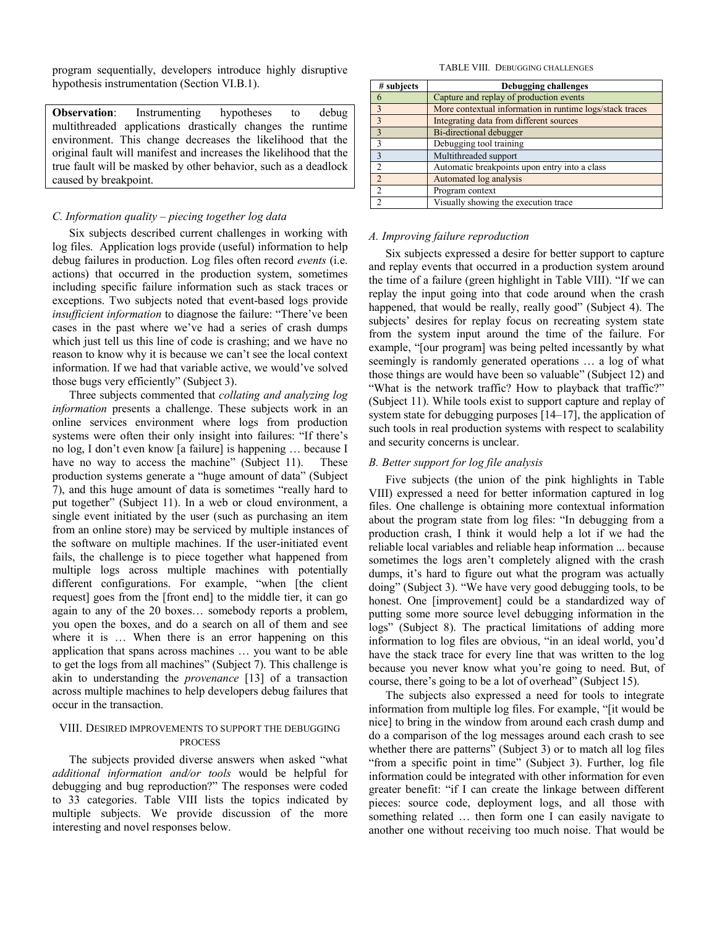program sequentially, developers introduce highly disruptive hypothesis instrumentation (Section VI.B.1).

**Observation:** Instrumenting hypotheses to debug multithreaded applications drastically changes the runtime environment. This change decreases the likelihood that the original fault will manifest and increases the likelihood that the true fault will be masked by other behavior, such as a deadlock caused by breakpoint.

## *C. Information quality – piecing together log data*

Six subjects described current challenges in working with log files. Application logs provide (useful) information to help debug failures in production. Log files often record *events* (i.e. actions) that occurred in the production system, sometimes including specific failure information such as stack traces or exceptions. Two subjects noted that event-based logs provide *insufficient information* to diagnose the failure: "There've been cases in the past where we've had a series of crash dumps which just tell us this line of code is crashing; and we have no reason to know why it is because we can't see the local context information. If we had that variable active, we would've solved those bugs very efficiently" (Subject 3).

Three subjects commented that *collating and analyzing log information* presents a challenge. These subjects work in an online services environment where logs from production systems were often their only insight into failures: "If there's no log, I don't even know [a failure] is happening … because I have no way to access the machine" (Subject 11). These production systems generate a "huge amount of data" (Subject 7), and this huge amount of data is sometimes "really hard to put together" (Subject 11). In a web or cloud environment, a single event initiated by the user (such as purchasing an item from an online store) may be serviced by multiple instances of the software on multiple machines. If the user-initiated event fails, the challenge is to piece together what happened from multiple logs across multiple machines with potentially different configurations. For example, "when [the client request] goes from the [front end] to the middle tier, it can go again to any of the 20 boxes… somebody reports a problem, you open the boxes, and do a search on all of them and see where it is ... When there is an error happening on this application that spans across machines … you want to be able to get the logs from all machines" (Subject 7). This challenge is akin to understanding the *provenance* [13] of a transaction across multiple machines to help developers debug failures that occur in the transaction.

## VIII. DESIRED IMPROVEMENTS TO SUPPORT THE DEBUGGING PROCESS

The subjects provided diverse answers when asked "what *additional information and/or tools* would be helpful for debugging and bug reproduction?" The responses were coded to 33 categories. Table VIII lists the topics indicated by multiple subjects. We provide discussion of the more interesting and novel responses below.

### TABLE VIII. DEBUGGING CHALLENGES

| $#$ subjects   | <b>Debugging challenges</b>                              |
|----------------|----------------------------------------------------------|
|                | Capture and replay of production events                  |
| $\overline{3}$ | More contextual information in runtime logs/stack traces |
| $\overline{3}$ | Integrating data from different sources                  |
| $\overline{3}$ | Bi-directional debugger                                  |
| -3             | Debugging tool training                                  |
| 3              | Multithreaded support                                    |
| $\overline{2}$ | Automatic breakpoints upon entry into a class            |
| $\overline{2}$ | Automated log analysis                                   |
| $\overline{2}$ | Program context                                          |
| C              | Visually showing the execution trace                     |

## *A. Improving failure reproduction*

Six subjects expressed a desire for better support to capture and replay events that occurred in a production system around the time of a failure (green highlight in Table VIII). "If we can replay the input going into that code around when the crash happened, that would be really, really good" (Subject 4). The subjects' desires for replay focus on recreating system state from the system input around the time of the failure. For example, "[our program] was being pelted incessantly by what seemingly is randomly generated operations … a log of what those things are would have been so valuable" (Subject 12) and "What is the network traffic? How to playback that traffic?" (Subject 11). While tools exist to support capture and replay of system state for debugging purposes [14–17], the application of such tools in real production systems with respect to scalability and security concerns is unclear.

#### *B. Better support for log file analysis*

Five subjects (the union of the pink highlights in Table VIII) expressed a need for better information captured in log files. One challenge is obtaining more contextual information about the program state from log files: "In debugging from a production crash, I think it would help a lot if we had the reliable local variables and reliable heap information ... because sometimes the logs aren't completely aligned with the crash dumps, it's hard to figure out what the program was actually doing" (Subject 3). "We have very good debugging tools, to be honest. One [improvement] could be a standardized way of putting some more source level debugging information in the logs" (Subject 8). The practical limitations of adding more information to log files are obvious, "in an ideal world, you'd have the stack trace for every line that was written to the log because you never know what you're going to need. But, of course, there's going to be a lot of overhead" (Subject 15).

The subjects also expressed a need for tools to integrate information from multiple log files. For example, "[it would be nice] to bring in the window from around each crash dump and do a comparison of the log messages around each crash to see whether there are patterns" (Subject 3) or to match all log files "from a specific point in time" (Subject 3). Further, log file information could be integrated with other information for even greater benefit: "if I can create the linkage between different pieces: source code, deployment logs, and all those with something related … then form one I can easily navigate to another one without receiving too much noise. That would be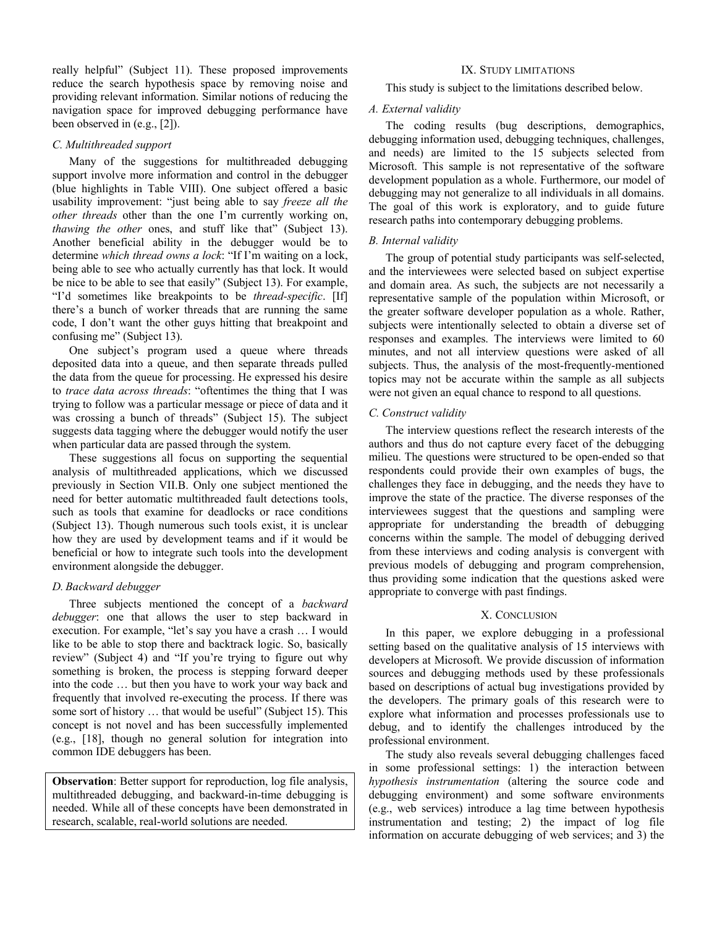really helpful" (Subject 11). These proposed improvements reduce the search hypothesis space by removing noise and providing relevant information. Similar notions of reducing the navigation space for improved debugging performance have been observed in (e.g., [2]).

## *C. Multithreaded support*

Many of the suggestions for multithreaded debugging support involve more information and control in the debugger (blue highlights in Table VIII). One subject offered a basic usability improvement: "just being able to say *freeze all the other threads* other than the one I'm currently working on, *thawing the other* ones, and stuff like that" (Subject 13). Another beneficial ability in the debugger would be to determine *which thread owns a lock*: "If I'm waiting on a lock, being able to see who actually currently has that lock. It would be nice to be able to see that easily" (Subject 13). For example, "I'd sometimes like breakpoints to be *thread-specific*. [If] there's a bunch of worker threads that are running the same code, I don't want the other guys hitting that breakpoint and confusing me" (Subject 13).

One subject's program used a queue where threads deposited data into a queue, and then separate threads pulled the data from the queue for processing. He expressed his desire to *trace data across threads*: "oftentimes the thing that I was trying to follow was a particular message or piece of data and it was crossing a bunch of threads" (Subject 15). The subject suggests data tagging where the debugger would notify the user when particular data are passed through the system.

These suggestions all focus on supporting the sequential analysis of multithreaded applications, which we discussed previously in Section VII.B. Only one subject mentioned the need for better automatic multithreaded fault detections tools, such as tools that examine for deadlocks or race conditions (Subject 13). Though numerous such tools exist, it is unclear how they are used by development teams and if it would be beneficial or how to integrate such tools into the development environment alongside the debugger.

#### *D. Backward debugger*

Three subjects mentioned the concept of a *backward debugger*: one that allows the user to step backward in execution. For example, "let's say you have a crash ... I would like to be able to stop there and backtrack logic. So, basically review" (Subject 4) and "If you're trying to figure out why something is broken, the process is stepping forward deeper into the code … but then you have to work your way back and frequently that involved re-executing the process. If there was some sort of history ... that would be useful" (Subject 15). This concept is not novel and has been successfully implemented (e.g., [18], though no general solution for integration into common IDE debuggers has been.

**Observation**: Better support for reproduction, log file analysis, multithreaded debugging, and backward-in-time debugging is needed. While all of these concepts have been demonstrated in research, scalable, real-world solutions are needed.

## IX. STUDY LIMITATIONS

This study is subject to the limitations described below.

# *A. External validity*

The coding results (bug descriptions, demographics, debugging information used, debugging techniques, challenges, and needs) are limited to the 15 subjects selected from Microsoft. This sample is not representative of the software development population as a whole. Furthermore, our model of debugging may not generalize to all individuals in all domains. The goal of this work is exploratory, and to guide future research paths into contemporary debugging problems.

## *B. Internal validity*

The group of potential study participants was self-selected, and the interviewees were selected based on subject expertise and domain area. As such, the subjects are not necessarily a representative sample of the population within Microsoft, or the greater software developer population as a whole. Rather, subjects were intentionally selected to obtain a diverse set of responses and examples. The interviews were limited to 60 minutes, and not all interview questions were asked of all subjects. Thus, the analysis of the most-frequently-mentioned topics may not be accurate within the sample as all subjects were not given an equal chance to respond to all questions.

## *C. Construct validity*

The interview questions reflect the research interests of the authors and thus do not capture every facet of the debugging milieu. The questions were structured to be open-ended so that respondents could provide their own examples of bugs, the challenges they face in debugging, and the needs they have to improve the state of the practice. The diverse responses of the interviewees suggest that the questions and sampling were appropriate for understanding the breadth of debugging concerns within the sample. The model of debugging derived from these interviews and coding analysis is convergent with previous models of debugging and program comprehension, thus providing some indication that the questions asked were appropriate to converge with past findings.

## X. CONCLUSION

In this paper, we explore debugging in a professional setting based on the qualitative analysis of 15 interviews with developers at Microsoft. We provide discussion of information sources and debugging methods used by these professionals based on descriptions of actual bug investigations provided by the developers. The primary goals of this research were to explore what information and processes professionals use to debug, and to identify the challenges introduced by the professional environment.

The study also reveals several debugging challenges faced in some professional settings: 1) the interaction between *hypothesis instrumentation* (altering the source code and debugging environment) and some software environments (e.g., web services) introduce a lag time between hypothesis instrumentation and testing; 2) the impact of log file information on accurate debugging of web services; and 3) the